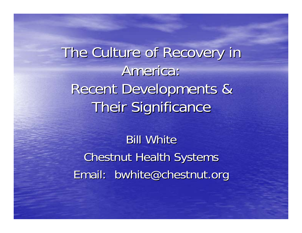The Culture of Recovery in America: Recent Developments & Recent Developments & **Their Significance** 

Bill White **Chestnut Health Systems** Email: bwhite@chestnut.org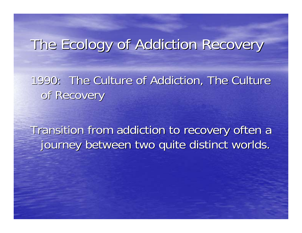#### The Ecology of Addiction Recovery The Ecology of Addiction Recovery

1990: The Culture of Addiction, The Culture of Recovery

Transition from addiction to recovery often a journey between two quite distinct worlds.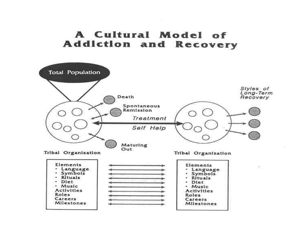#### A Cultural Model of **Addiction and Recovery**

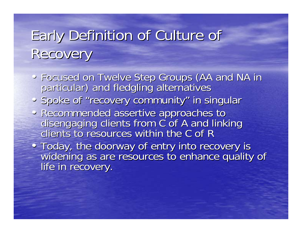# Early Definition of Culture of Early Definition of Culture of Recovery

- Focused on Twelve Step Groups (AA and NA in particular) and fledgling alternatives
- Spoke of "recovery community" in singular
- · Recommended assertive approaches to<br>disengaging clients from C of A and linking clients to resources within the C of R
- Today, the doorway of entry into recovery is<br>widening as are resources to enhance quality of<br>life in recovery.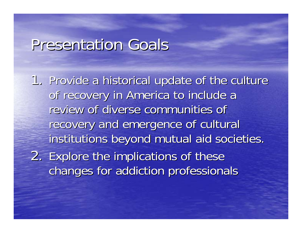#### **Presentation Goals**

1. Provide a historical update of the culture of recovery in America to include a review of diverse communities of recovery and emergence of cultural institutions beyond mutual aid societies. 2. Explore the implications of these changes for addiction professionals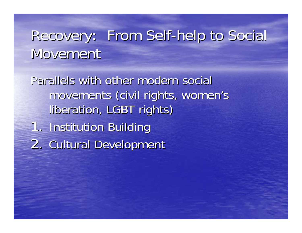# Recovery: From Self-help to Social Movement

Parallels with other modern social Parallels with other modern social movements (civil rights, women's liberation, LGBT rights) 1. Institution Building 2. Cultural Development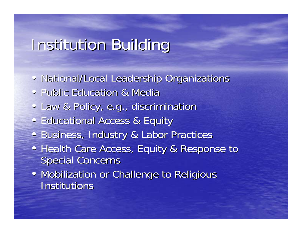# Institution Building

• National/Local Leadership Organizations

- Public Education & Media
- Law & Policy, e.g., discrimination
- Educational Access & Equity
- Business, Industry & Labor Practices
- Health Care Access, Equity & Response to **Special Concerns**
- Mobilization or Challenge to Religious Institutions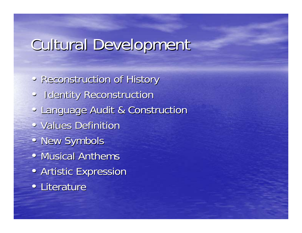# Cultural Development

• Reconstruction of History

- Identity Reconstruction
- **Language Audit & Construction**
- Values Definition
- New Symbols
- Musical Anthems
- Artistic Expression
- Literature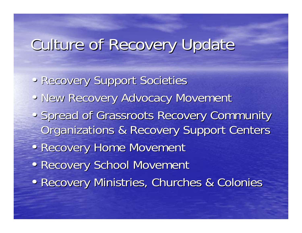# Culture of Recovery Update

• Recovery Support Societies • New Recovery Advocacy Movement

- 
- Spread of Grassroots Recovery Community **Organizations & Recovery Support Centers**
- Recovery Home Movement
- Recovery School Movement
- Recovery Ministries, Churches & Colonies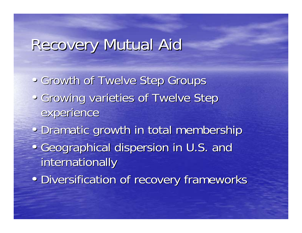# Recovery Mutual Aid

- Growth of Twelve Step Groups
- Growing varieties of Twelve Step experience
- Dramatic growth in total membership
- Geographical dispersion in U.S. and internationally
- Diversification of recovery frameworks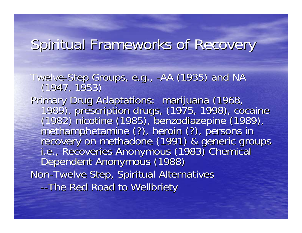#### Spiritual Frameworks of Recovery

Twelve-Step Groups, e.g., -AA (1935) and NA<br>(1947, 1953) Primary Drug Adaptations: marijuana (1968,<br>1989), prescription drugs, (1975, 1998), cocaine<br>(1982) nicotine (1985), benzodiazepine (1989),<br>methamphetamine (?), heroin (?), persons in<br>recovery on methadone (1991) & generic Non-Twelve Step, Spiritual Alternatives --The Red Road to Wellbriety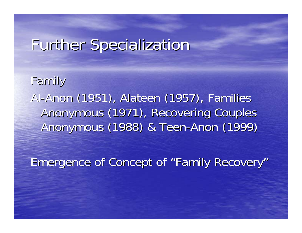## Further Specialization

Family Al-Anon (1951), Alateen (1957), Families Anonymous (1971), Recovering Couples Anonymous (1988) & Teen-Anon (1999)

Emergence of Concept of "Family Recovery"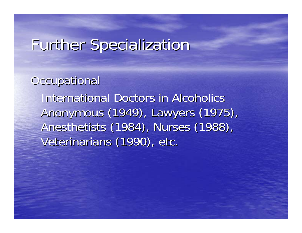#### Further Specialization Further Specialization

**Occupational** International Doctors in Alcoholics Anonymous (1949), Lawyers (1975), Anesthetists (1984), Nurses (1988), Veterinarians (1990), etc.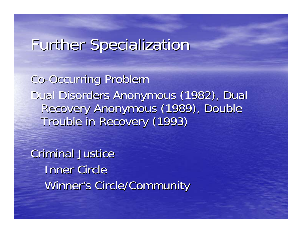#### Further Specialization Further Specialization

Co-Occurring Problem Dual Disorders Anonymous (1982), Dual Recovery Anonymous (1989), Double Trouble in Recovery (1993) Trouble in Recovery (1993)

**Criminal Justice Inner Circle** Winner's Circle/Community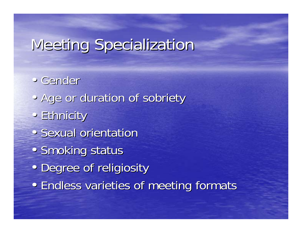# **Meeting Specialization**

- •Gender
- Age or duration of sobriety
- $\overline{\phantom{a}}$  Ethnicity
- Sexual orientation
- Smoking status
- Degree of religiosity
- Endless varieties of meeting formats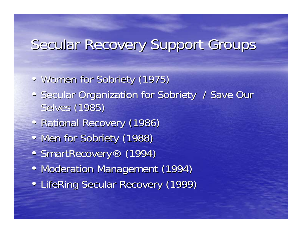#### Secular Recovery Support Groups

- Women for Sobriety (1975)
- Secular Organization for Sobriety / Save Our Selves (1985)
- Rational Recovery (1986)
- Men for Sobriety (1988)
- SmartRecovery<sup>®</sup> (1994)
- Moderation Management (1994)
- LifeRing Secular Recovery (1999)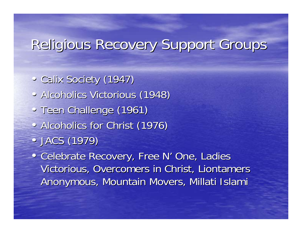#### Religious Recovery Support Groups

- Calix Society (1947)
- Alcoholics Victorious (1948)
- Teen Challenge (1961)
- Alcoholics for Christ (1976)
- JACS (1979)

• Celebrate Recovery, Free N' One, Ladies Victorious, Overcomers in Christ, Liontamers Anonymous, Mountain Movers, Millati Islami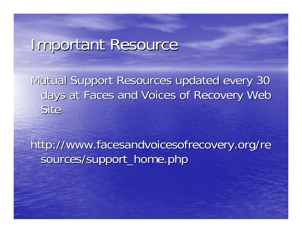#### Important Resource

Mutual Support Resources updated every 30 days at Faces and Voices of Recovery Web **Site** 

http://www.facesandvoicesofrecovery.org/re sources/support\_home.php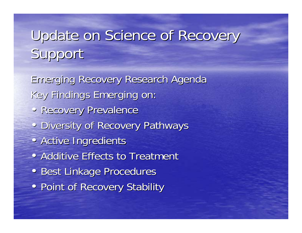# Update on Science of Recovery Update on Science of Recovery Support

Emerging Recovery Research Agenda Emerging Recovery Research Agenda Key Findings Emerging on: • Recovery Prevalence • Diversity of Recovery Pathways • Active Ingredients • Additive Effects to Treatment • Best Linkage Procedures • Point of Recovery Stability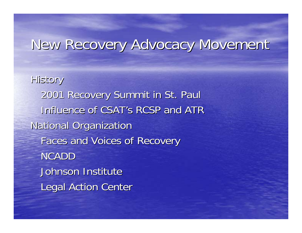#### New Recovery Advocacy Movement

History 2001 Recovery Summit in St. Paul 2001 Recovery Summit in St. Paul Influence of CSAT's RCSP and ATR National Organization Faces and Voices of Recovery NCADD Johnson Institute **Legal Action Center**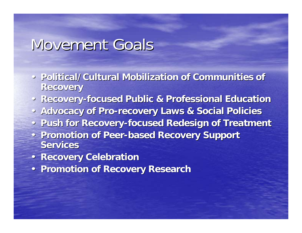# Movement Goals

- **Political/Cultural Mobilization of Communities of Political/Cultural Mobilization of Communities of Recovery Recovery**
- **PRECOVERY-focused Public & Professional Education**
- **Advocacy of Pro-recovery Laws & Social Policies**
- **Push for Recovery-focused Redesign of Treatment**
- **Promotion of Peer-based Recovery Support Services**
- •**Recovery Celebration Recovery Celebration**
- **Promotion of Recovery Research**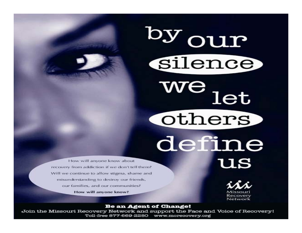by our silence) we let **Cothers** define us

How will anyone know about recovery from addiction if we don't tell them? Will we continue to allow stigma, shame and misunderstanding to destroy our friends, our families, and our communities?

How will anyone know?



#### **Be an Agent of Change!**

Join the Missouri Recovery Network and support the Face and Voice of Recovery! Toll-free 877-669-2280 www.morecovery.org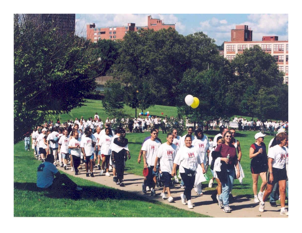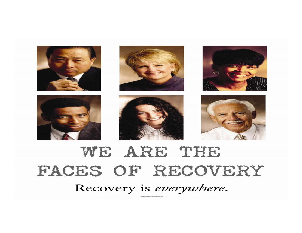





## WE ARE THE FACES OF RECOVERY Recovery is everywhere.





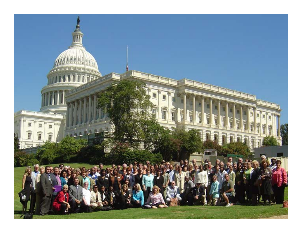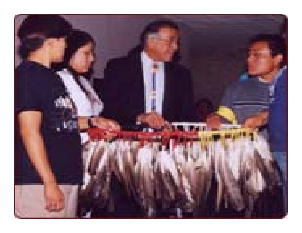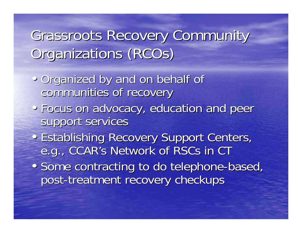Grassroots Recovery Community Grassroots Recovery Community Organizations (RCOs)

- Organized by and on behalf of communities of recovery
- Focus on advocacy, education and peer support services
- Establishing Recovery Support Centers, e.g., CCAR's Network of RSCs in CT
- Some contracting to do telephone-based, post-treatment recovery checkups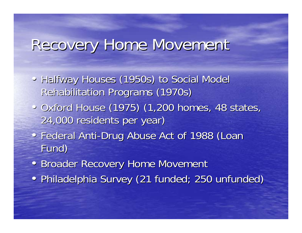#### Recovery Home Movement

- Halfway Houses (1950s) to Social Model Rehabilitation Programs (1970s)
- Oxford House (1975) (1,200 homes, 48 states, 24,000 residents per year)
- Federal Anti-Drug Abuse Act of 1988 (Loan Fund)
- Broader Recovery Home Movement
- Philadelphia Survey (21 funded; 250 unfunded)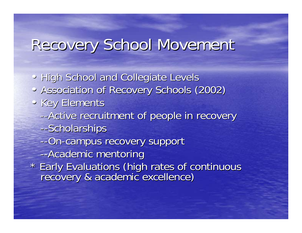# Recovery School Movement

• High School and Collegiate Levels

- Association of Recovery Schools (2002)
- Key Elements
	- --Active recruitment of people in recovery --Scholarships
	-
	- --On-campus recovery support

--Academic mentoring

\* Early Evaluations (high rates of continuous \* Early Evaluations (high rates of continuous recovery & academic excellence) recovery & academic excellence)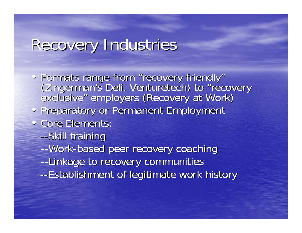## Recovery Industries

- Formats range from "recovery friendly" (Zingerman's Deli, Venturetech) to "recovery<br>exclusive" employers (Recovery at Work)
- Preparatory or Permanent Employment
- Core Elements:
	- --Skill training
	- --Work-based peer recovery coaching
	- --Linkage to recovery communities
	- --Establishment of legitimate work history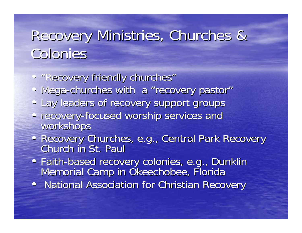# Recovery Ministries, Churches & Colonies

- •· "Recovery friendly churches"
- Mega-churches with a "recovery pastor"
- Lay leaders of recovery support groups
- recovery-focused worship services and workshops
- Recovery Churches, e.g., Central Park Recovery Church in St. Paul
- Faith-based recovery colonies, e.g., Dunklin based recovery colonies, e.g., Dunklin Memorial Camp in Okeechobee, Florida Memorial Camp in Okeechobee, Florida
- National Association for Christian Recovery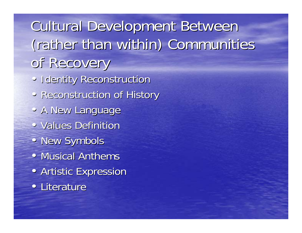Cultural Development Between Cultural Development Between (rather than within) Communities (rather than within) Communities of Recovery • Identity Reconstruction • Reconstruction of History • A New Language • Values Definition • New Symbols

- Musical Anthems
- Artistic Expression
- Literature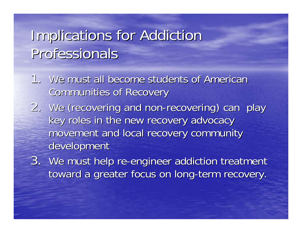# **Implications for Addiction** Professionals

- 1. We must all become students of American Communities of Recovery
- 2. We (recovering and non-recovering) can play key roles in the new recovery advocacy movement and local recovery community development

3. We must help re-engineer addiction treatment toward a greater focus on long-term recovery.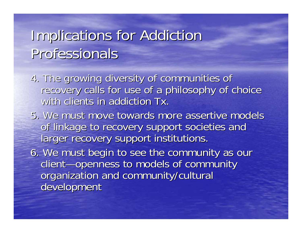# **Implications for Addiction** Professionals

- 4. The growing diversity of communities of recovery calls for use of a philosophy of choice with clients in addiction Tx.
- 5. We must move towards more assertive models of linkage to recovery support societies and larger recovery support institutions.
- 6. We must begin to see the community as our client-openness to models of community organization and community/cultural development